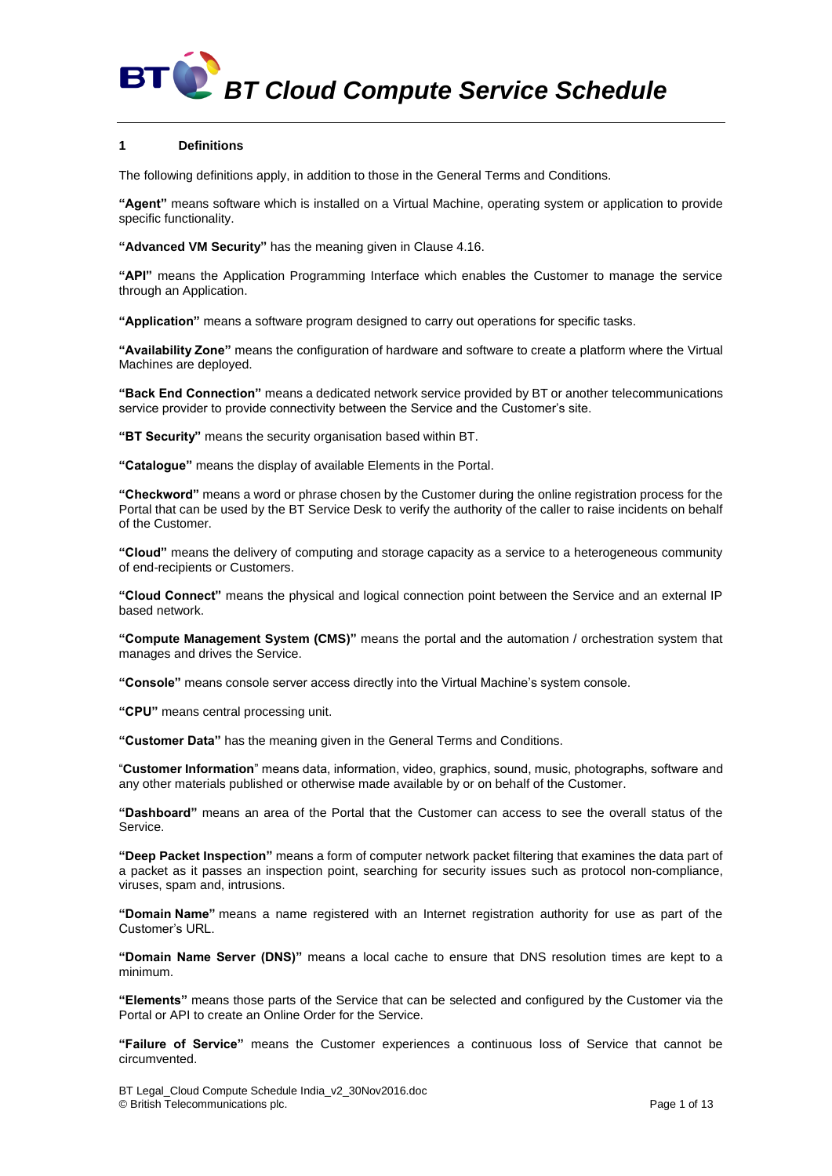# **1 Definitions**

The following definitions apply, in addition to those in the General Terms and Conditions.

**"Agent"** means software which is installed on a Virtual Machine, operating system or application to provide specific functionality.

**"Advanced VM Security"** has the meaning given in Clause [4.16.](#page-5-0)

**"API"** means the Application Programming Interface which enables the Customer to manage the service through an Application.

**"Application"** means a software program designed to carry out operations for specific tasks.

**"Availability Zone"** means the configuration of hardware and software to create a platform where the Virtual Machines are deployed.

**"Back End Connection"** means a dedicated network service provided by BT or another telecommunications service provider to provide connectivity between the Service and the Customer's site.

**"BT Security"** means the security organisation based within BT.

**"Catalogue"** means the display of available Elements in the Portal.

**"Checkword"** means a word or phrase chosen by the Customer during the online registration process for the Portal that can be used by the BT Service Desk to verify the authority of the caller to raise incidents on behalf of the Customer.

**"Cloud"** means the delivery of computing and storage capacity as a service to a heterogeneous community of end-recipients or Customers.

**"Cloud Connect"** means the physical and logical connection point between the Service and an external IP based network.

**"Compute Management System (CMS)"** means the portal and the automation / orchestration system that manages and drives the Service.

**"Console"** means console server access directly into the Virtual Machine's system console.

**"CPU"** means central processing unit.

**"Customer Data"** has the meaning given in the General Terms and Conditions.

"**Customer Information**" means data, information, video, graphics, sound, music, photographs, software and any other materials published or otherwise made available by or on behalf of the Customer.

**"Dashboard"** means an area of the Portal that the Customer can access to see the overall status of the Service.

**"Deep Packet Inspection"** means a form of computer network packet filtering that examines the data part of a packet as it passes an inspection point, searching for security issues such as protocol non-compliance, viruses, spam and, intrusions.

**"Domain Name"** means a name registered with an Internet registration authority for use as part of the Customer's URL.

**"Domain Name Server (DNS)"** means a local cache to ensure that DNS resolution times are kept to a minimum.

**"Elements"** means those parts of the Service that can be selected and configured by the Customer via the Portal or API to create an Online Order for the Service.

**"Failure of Service"** means the Customer experiences a continuous loss of Service that cannot be circumvented.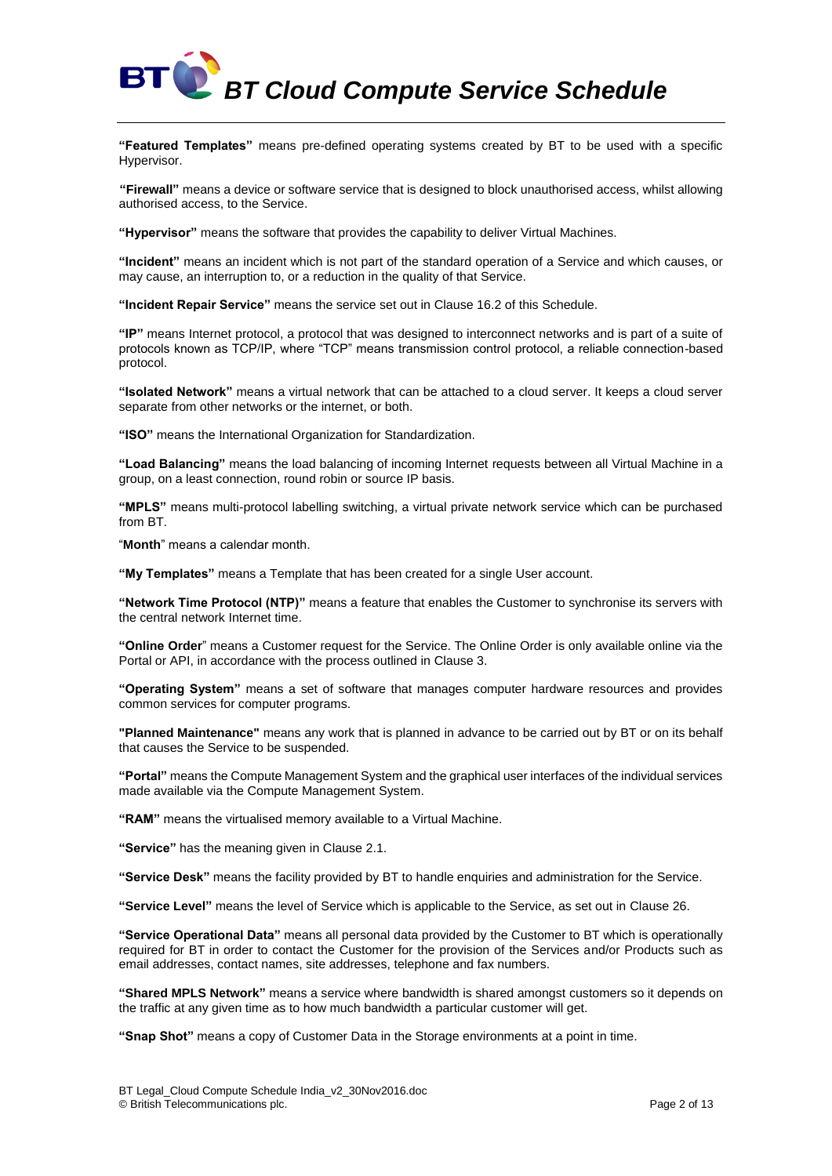

**"Featured Templates"** means pre-defined operating systems created by BT to be used with a specific Hypervisor.

**"Firewall"** means a device or software service that is designed to block unauthorised access, whilst allowing authorised access, to the Service.

**"Hypervisor"** means the software that provides the capability to deliver Virtual Machines.

**"Incident"** means an incident which is not part of the standard operation of a Service and which causes, or may cause, an interruption to, or a reduction in the quality of that Service.

**"Incident Repair Service"** means the service set out in Clause [16.2](#page-7-0) of this Schedule.

**"IP"** means Internet protocol, a protocol that was designed to interconnect networks and is part of a suite of protocols known as TCP/IP, where "TCP" means transmission control protocol, a reliable connection-based protocol.

**"Isolated Network"** means a virtual network that can be attached to a cloud server. It keeps a cloud server separate from other networks or the internet, or both.

**"ISO"** means the International Organization for Standardization.

**"Load Balancing"** means the load balancing of incoming Internet requests between all Virtual Machine in a group, on a least connection, round robin or source IP basis.

**"MPLS"** means multi-protocol labelling switching, a virtual private network service which can be purchased from BT.

"**Month**" means a calendar month.

**"My Templates"** means a Template that has been created for a single User account.

**"Network Time Protocol (NTP)"** means a feature that enables the Customer to synchronise its servers with the central network Internet time.

**"Online Order**" means a Customer request for the Service. The Online Order is only available online via the Portal or API, in accordance with the process outlined in Clause [3.](#page-2-0)

**"Operating System"** means a set of software that manages computer hardware resources and provides common services for computer programs.

**"Planned Maintenance"** means any work that is planned in advance to be carried out by BT or on its behalf that causes the Service to be suspended.

**"Portal"** means the Compute Management System and the graphical user interfaces of the individual services made available via the Compute Management System.

**"RAM"** means the virtualised memory available to a Virtual Machine.

**"Service"** has the meaning given in Claus[e 2.1.](#page-2-1)

**"Service Desk"** means the facility provided by BT to handle enquiries and administration for the Service.

**"Service Level"** means the level of Service which is applicable to the Service, as set out in Clause [26.](#page-11-0)

**"Service Operational Data"** means all personal data provided by the Customer to BT which is operationally required for BT in order to contact the Customer for the provision of the Services and/or Products such as email addresses, contact names, site addresses, telephone and fax numbers.

**"Shared MPLS Network"** means a service where bandwidth is shared amongst customers so it depends on the traffic at any given time as to how much bandwidth a particular customer will get.

**"Snap Shot"** means a copy of Customer Data in the Storage environments at a point in time.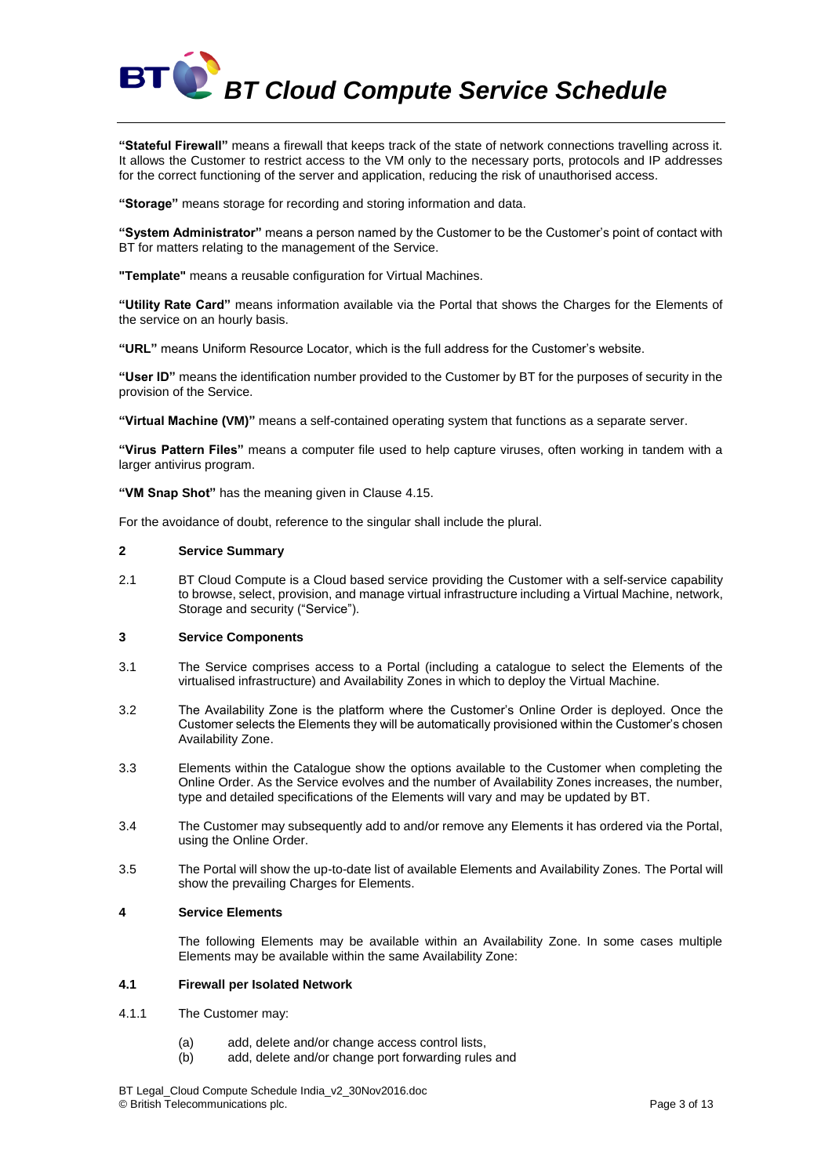

**"Stateful Firewall"** means a firewall that keeps track of the state of network connections travelling across it. It allows the Customer to restrict access to the VM only to the necessary ports, protocols and IP addresses for the correct functioning of the server and application, reducing the risk of unauthorised access.

**"Storage"** means storage for recording and storing information and data.

**"System Administrator"** means a person named by the Customer to be the Customer's point of contact with BT for matters relating to the management of the Service.

**"Template"** means a reusable configuration for Virtual Machines.

**"Utility Rate Card"** means information available via the Portal that shows the Charges for the Elements of the service on an hourly basis.

**"URL"** means Uniform Resource Locator, which is the full address for the Customer's website.

**"User ID"** means the identification number provided to the Customer by BT for the purposes of security in the provision of the Service.

**"Virtual Machine (VM)"** means a self-contained operating system that functions as a separate server.

**"Virus Pattern Files"** means a computer file used to help capture viruses, often working in tandem with a larger antivirus program.

**"VM Snap Shot"** has the meaning given in Clause [4.15.](#page-5-1)

For the avoidance of doubt, reference to the singular shall include the plural.

#### **2 Service Summary**

<span id="page-2-1"></span>2.1 BT Cloud Compute is a Cloud based service providing the Customer with a self-service capability to browse, select, provision, and manage virtual infrastructure including a Virtual Machine, network, Storage and security ("Service").

# <span id="page-2-0"></span>**3 Service Components**

- 3.1 The Service comprises access to a Portal (including a catalogue to select the Elements of the virtualised infrastructure) and Availability Zones in which to deploy the Virtual Machine.
- 3.2 The Availability Zone is the platform where the Customer's Online Order is deployed. Once the Customer selects the Elements they will be automatically provisioned within the Customer's chosen Availability Zone.
- 3.3 Elements within the Catalogue show the options available to the Customer when completing the Online Order. As the Service evolves and the number of Availability Zones increases, the number, type and detailed specifications of the Elements will vary and may be updated by BT.
- 3.4 The Customer may subsequently add to and/or remove any Elements it has ordered via the Portal, using the Online Order.
- 3.5 The Portal will show the up-to-date list of available Elements and Availability Zones. The Portal will show the prevailing Charges for Elements.

# **4 Service Elements**

The following Elements may be available within an Availability Zone. In some cases multiple Elements may be available within the same Availability Zone:

# **4.1 Firewall per Isolated Network**

- 4.1.1 The Customer may:
	- (a) add, delete and/or change access control lists,
	- (b) add, delete and/or change port forwarding rules and

BT Legal\_Cloud Compute Schedule India\_v2\_30Nov2016.doc © British Telecommunications plc. Page 3 of 13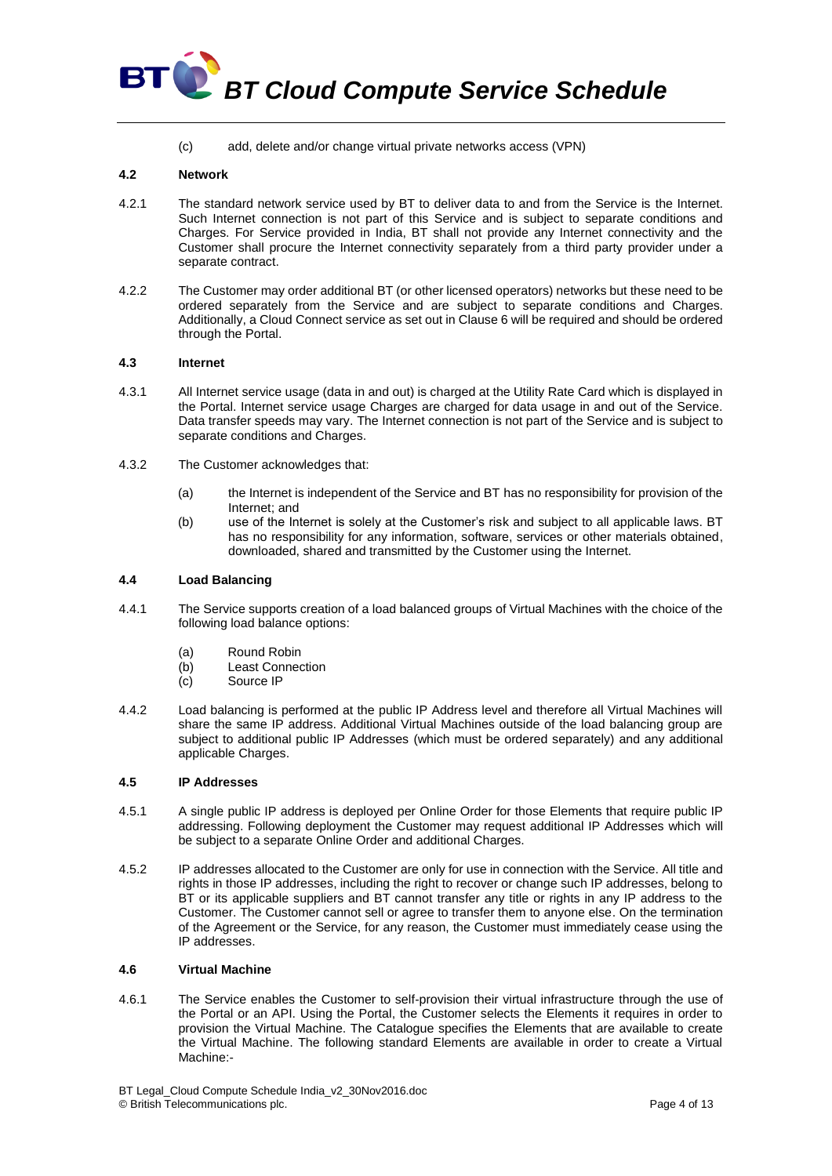

(c) add, delete and/or change virtual private networks access (VPN)

# **4.2 Network**

- 4.2.1 The standard network service used by BT to deliver data to and from the Service is the Internet. Such Internet connection is not part of this Service and is subject to separate conditions and Charges. For Service provided in India, BT shall not provide any Internet connectivity and the Customer shall procure the Internet connectivity separately from a third party provider under a separate contract.
- 4.2.2 The Customer may order additional BT (or other licensed operators) networks but these need to be ordered separately from the Service and are subject to separate conditions and Charges. Additionally, a Cloud Connect service as set out in Claus[e 6](#page-6-0) will be required and should be ordered through the Portal.

# **4.3 Internet**

- 4.3.1 All Internet service usage (data in and out) is charged at the Utility Rate Card which is displayed in the Portal. Internet service usage Charges are charged for data usage in and out of the Service. Data transfer speeds may vary. The Internet connection is not part of the Service and is subject to separate conditions and Charges.
- 4.3.2 The Customer acknowledges that:
	- (a) the Internet is independent of the Service and BT has no responsibility for provision of the Internet; and
	- (b) use of the Internet is solely at the Customer's risk and subject to all applicable laws. BT has no responsibility for any information, software, services or other materials obtained, downloaded, shared and transmitted by the Customer using the Internet.

# **4.4 Load Balancing**

- 4.4.1 The Service supports creation of a load balanced groups of Virtual Machines with the choice of the following load balance options:
	- (a) Round Robin
	- (b) Least Connection
	- (c) Source IP
- 4.4.2 Load balancing is performed at the public IP Address level and therefore all Virtual Machines will share the same IP address. Additional Virtual Machines outside of the load balancing group are subject to additional public IP Addresses (which must be ordered separately) and any additional applicable Charges.

### **4.5 IP Addresses**

- 4.5.1 A single public IP address is deployed per Online Order for those Elements that require public IP addressing. Following deployment the Customer may request additional IP Addresses which will be subject to a separate Online Order and additional Charges.
- 4.5.2 IP addresses allocated to the Customer are only for use in connection with the Service. All title and rights in those IP addresses, including the right to recover or change such IP addresses, belong to BT or its applicable suppliers and BT cannot transfer any title or rights in any IP address to the Customer. The Customer cannot sell or agree to transfer them to anyone else. On the termination of the Agreement or the Service, for any reason, the Customer must immediately cease using the IP addresses.

# **4.6 Virtual Machine**

4.6.1 The Service enables the Customer to self-provision their virtual infrastructure through the use of the Portal or an API. Using the Portal, the Customer selects the Elements it requires in order to provision the Virtual Machine. The Catalogue specifies the Elements that are available to create the Virtual Machine. The following standard Elements are available in order to create a Virtual Machine:-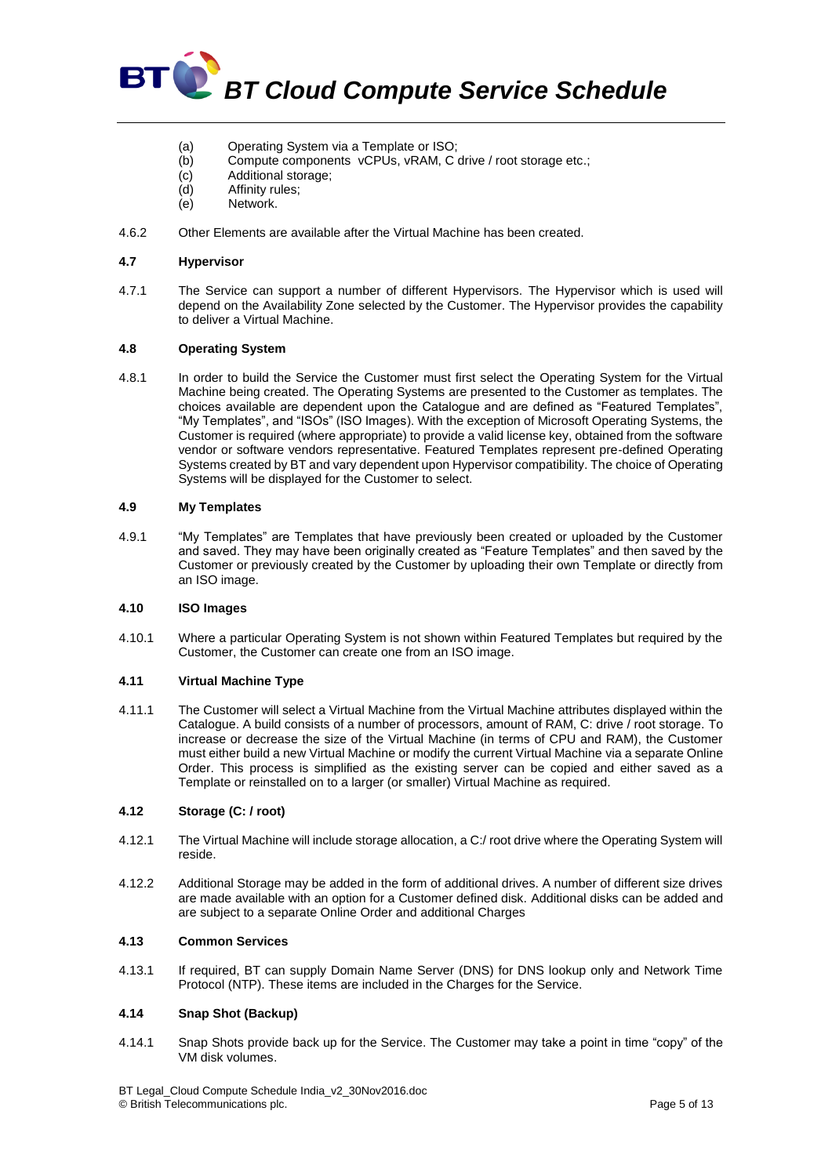

- (a) Operating System via a Template or ISO;
- (b) Compute components vCPUs, vRAM, C drive / root storage etc.;
- (c) Additional storage;
- (d) Affinity rules;
- (e) Network.
- 4.6.2 Other Elements are available after the Virtual Machine has been created.

# **4.7 Hypervisor**

4.7.1 The Service can support a number of different Hypervisors. The Hypervisor which is used will depend on the Availability Zone selected by the Customer. The Hypervisor provides the capability to deliver a Virtual Machine.

# **4.8 Operating System**

4.8.1 In order to build the Service the Customer must first select the Operating System for the Virtual Machine being created. The Operating Systems are presented to the Customer as templates. The choices available are dependent upon the Catalogue and are defined as "Featured Templates", "My Templates", and "ISOs" (ISO Images). With the exception of Microsoft Operating Systems, the Customer is required (where appropriate) to provide a valid license key, obtained from the software vendor or software vendors representative. Featured Templates represent pre-defined Operating Systems created by BT and vary dependent upon Hypervisor compatibility. The choice of Operating Systems will be displayed for the Customer to select.

# **4.9 My Templates**

4.9.1 "My Templates" are Templates that have previously been created or uploaded by the Customer and saved. They may have been originally created as "Feature Templates" and then saved by the Customer or previously created by the Customer by uploading their own Template or directly from an ISO image.

# **4.10 ISO Images**

4.10.1 Where a particular Operating System is not shown within Featured Templates but required by the Customer, the Customer can create one from an ISO image.

# **4.11 Virtual Machine Type**

4.11.1 The Customer will select a Virtual Machine from the Virtual Machine attributes displayed within the Catalogue. A build consists of a number of processors, amount of RAM, C: drive / root storage. To increase or decrease the size of the Virtual Machine (in terms of CPU and RAM), the Customer must either build a new Virtual Machine or modify the current Virtual Machine via a separate Online Order. This process is simplified as the existing server can be copied and either saved as a Template or reinstalled on to a larger (or smaller) Virtual Machine as required.

# **4.12 Storage (C: / root)**

- 4.12.1 The Virtual Machine will include storage allocation, a C:/ root drive where the Operating System will reside.
- 4.12.2 Additional Storage may be added in the form of additional drives. A number of different size drives are made available with an option for a Customer defined disk. Additional disks can be added and are subject to a separate Online Order and additional Charges

# **4.13 Common Services**

4.13.1 If required, BT can supply Domain Name Server (DNS) for DNS lookup only and Network Time Protocol (NTP). These items are included in the Charges for the Service.

# **4.14 Snap Shot (Backup)**

4.14.1 Snap Shots provide back up for the Service. The Customer may take a point in time "copy" of the VM disk volumes.

BT Legal\_Cloud Compute Schedule India\_v2\_30Nov2016.doc © British Telecommunications plc. Page 5 of 13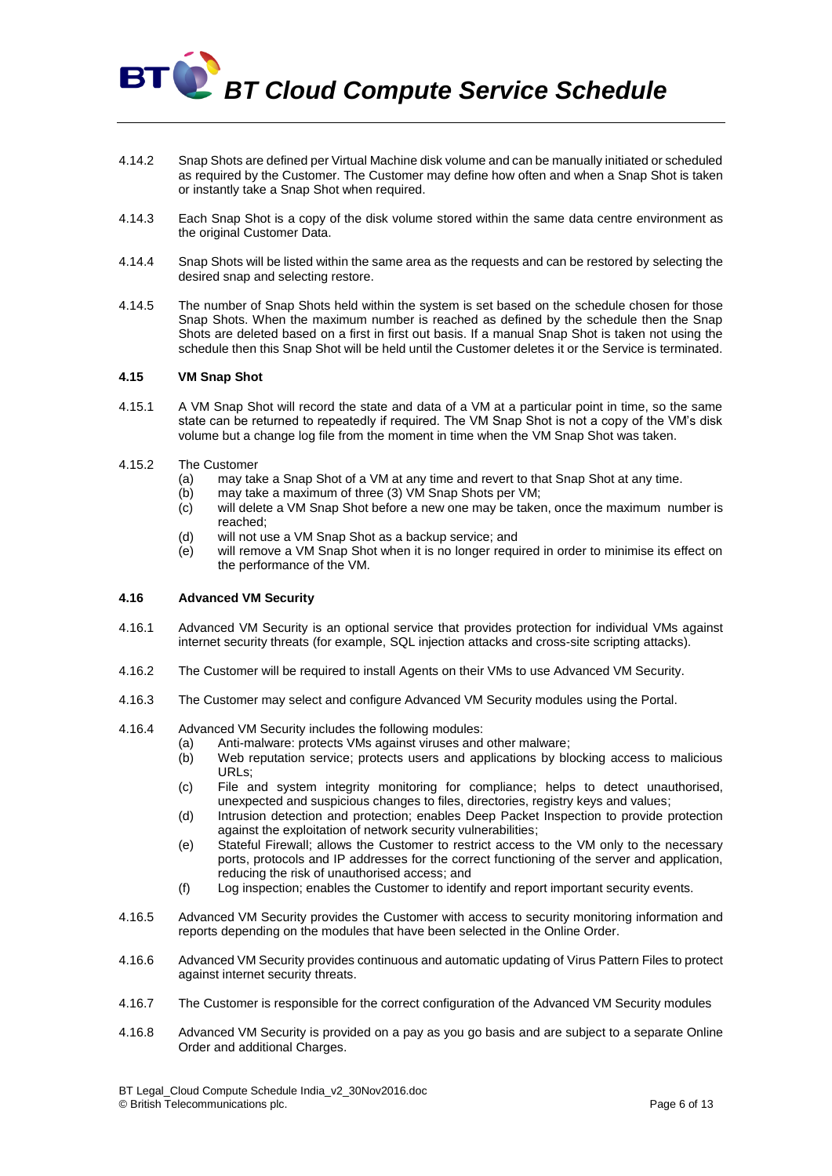- 4.14.2 Snap Shots are defined per Virtual Machine disk volume and can be manually initiated or scheduled as required by the Customer. The Customer may define how often and when a Snap Shot is taken or instantly take a Snap Shot when required.
- 4.14.3 Each Snap Shot is a copy of the disk volume stored within the same data centre environment as the original Customer Data.
- 4.14.4 Snap Shots will be listed within the same area as the requests and can be restored by selecting the desired snap and selecting restore.
- 4.14.5 The number of Snap Shots held within the system is set based on the schedule chosen for those Snap Shots. When the maximum number is reached as defined by the schedule then the Snap Shots are deleted based on a first in first out basis. If a manual Snap Shot is taken not using the schedule then this Snap Shot will be held until the Customer deletes it or the Service is terminated.

# <span id="page-5-1"></span>**4.15 VM Snap Shot**

**BT** 

- 4.15.1 A VM Snap Shot will record the state and data of a VM at a particular point in time, so the same state can be returned to repeatedly if required. The VM Snap Shot is not a copy of the VM's disk volume but a change log file from the moment in time when the VM Snap Shot was taken.
- 4.15.2 The Customer
	- (a) may take a Snap Shot of a VM at any time and revert to that Snap Shot at any time.
	- (b) may take a maximum of three (3) VM Snap Shots per VM;
	- (c) will delete a VM Snap Shot before a new one may be taken, once the maximum number is reached;
	- (d) will not use a VM Snap Shot as a backup service; and
	- (e) will remove a VM Snap Shot when it is no longer required in order to minimise its effect on the performance of the VM.

# <span id="page-5-0"></span>**4.16 Advanced VM Security**

- 4.16.1 Advanced VM Security is an optional service that provides protection for individual VMs against internet security threats (for example, SQL injection attacks and cross-site scripting attacks).
- 4.16.2 The Customer will be required to install Agents on their VMs to use Advanced VM Security.
- 4.16.3 The Customer may select and configure Advanced VM Security modules using the Portal.
- 4.16.4 Advanced VM Security includes the following modules:
	- (a) Anti-malware: protects VMs against viruses and other malware;<br>(b) Web reputation service: protects users and applications by blo
		- Web reputation service; protects users and applications by blocking access to malicious URLs;
		- (c) File and system integrity monitoring for compliance; helps to detect unauthorised, unexpected and suspicious changes to files, directories, registry keys and values;
		- (d) Intrusion detection and protection; enables Deep Packet Inspection to provide protection against the exploitation of network security vulnerabilities;
		- (e) Stateful Firewall; allows the Customer to restrict access to the VM only to the necessary ports, protocols and IP addresses for the correct functioning of the server and application, reducing the risk of unauthorised access; and
		- (f) Log inspection; enables the Customer to identify and report important security events.
- 4.16.5 Advanced VM Security provides the Customer with access to security monitoring information and reports depending on the modules that have been selected in the Online Order.
- 4.16.6 Advanced VM Security provides continuous and automatic updating of Virus Pattern Files to protect against internet security threats.
- 4.16.7 The Customer is responsible for the correct configuration of the Advanced VM Security modules
- 4.16.8 Advanced VM Security is provided on a pay as you go basis and are subject to a separate Online Order and additional Charges.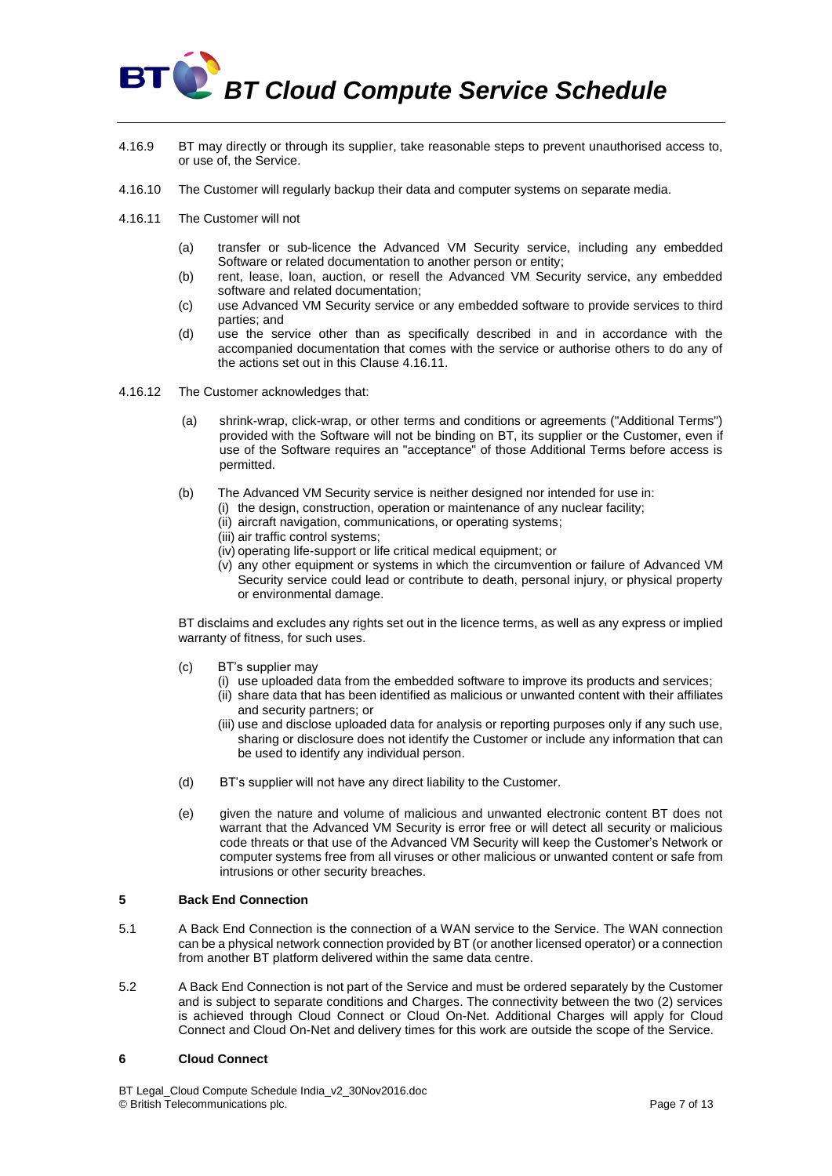- 4.16.9 BT may directly or through its supplier, take reasonable steps to prevent unauthorised access to, or use of, the Service.
- 4.16.10 The Customer will regularly backup their data and computer systems on separate media.
- <span id="page-6-1"></span>4.16.11 The Customer will not
	- (a) transfer or sub-licence the Advanced VM Security service, including any embedded Software or related documentation to another person or entity;
	- (b) rent, lease, loan, auction, or resell the Advanced VM Security service, any embedded software and related documentation;
	- (c) use Advanced VM Security service or any embedded software to provide services to third parties; and
	- (d) use the service other than as specifically described in and in accordance with the accompanied documentation that comes with the service or authorise others to do any of the actions set out in this Clause [4.16.11.](#page-6-1)
- 4.16.12 The Customer acknowledges that:
	- (a) shrink-wrap, click-wrap, or other terms and conditions or agreements ("Additional Terms") provided with the Software will not be binding on BT, its supplier or the Customer, even if use of the Software requires an "acceptance" of those Additional Terms before access is permitted.
	- (b) The Advanced VM Security service is neither designed nor intended for use in:
		- (i) the design, construction, operation or maintenance of any nuclear facility;
			- (ii) aircraft navigation, communications, or operating systems;
			- (iii) air traffic control systems;
			- (iv) operating life-support or life critical medical equipment; or
			- (v) any other equipment or systems in which the circumvention or failure of Advanced VM Security service could lead or contribute to death, personal injury, or physical property or environmental damage.

BT disclaims and excludes any rights set out in the licence terms, as well as any express or implied warranty of fitness, for such uses.

- (c) BT's supplier may
	- (i) use uploaded data from the embedded software to improve its products and services;
		- (ii) share data that has been identified as malicious or unwanted content with their affiliates and security partners; or
		- (iii) use and disclose uploaded data for analysis or reporting purposes only if any such use, sharing or disclosure does not identify the Customer or include any information that can be used to identify any individual person.
- (d) BT's supplier will not have any direct liability to the Customer.
- (e) given the nature and volume of malicious and unwanted electronic content BT does not warrant that the Advanced VM Security is error free or will detect all security or malicious code threats or that use of the Advanced VM Security will keep the Customer's Network or computer systems free from all viruses or other malicious or unwanted content or safe from intrusions or other security breaches.

# **5 Back End Connection**

- 5.1 A Back End Connection is the connection of a WAN service to the Service. The WAN connection can be a physical network connection provided by BT (or another licensed operator) or a connection from another BT platform delivered within the same data centre.
- 5.2 A Back End Connection is not part of the Service and must be ordered separately by the Customer and is subject to separate conditions and Charges. The connectivity between the two (2) services is achieved through Cloud Connect or Cloud On-Net. Additional Charges will apply for Cloud Connect and Cloud On-Net and delivery times for this work are outside the scope of the Service.

# <span id="page-6-0"></span>**6 Cloud Connect**

BT Legal\_Cloud Compute Schedule India\_v2\_30Nov2016.doc © British Telecommunications plc. Page 7 of 13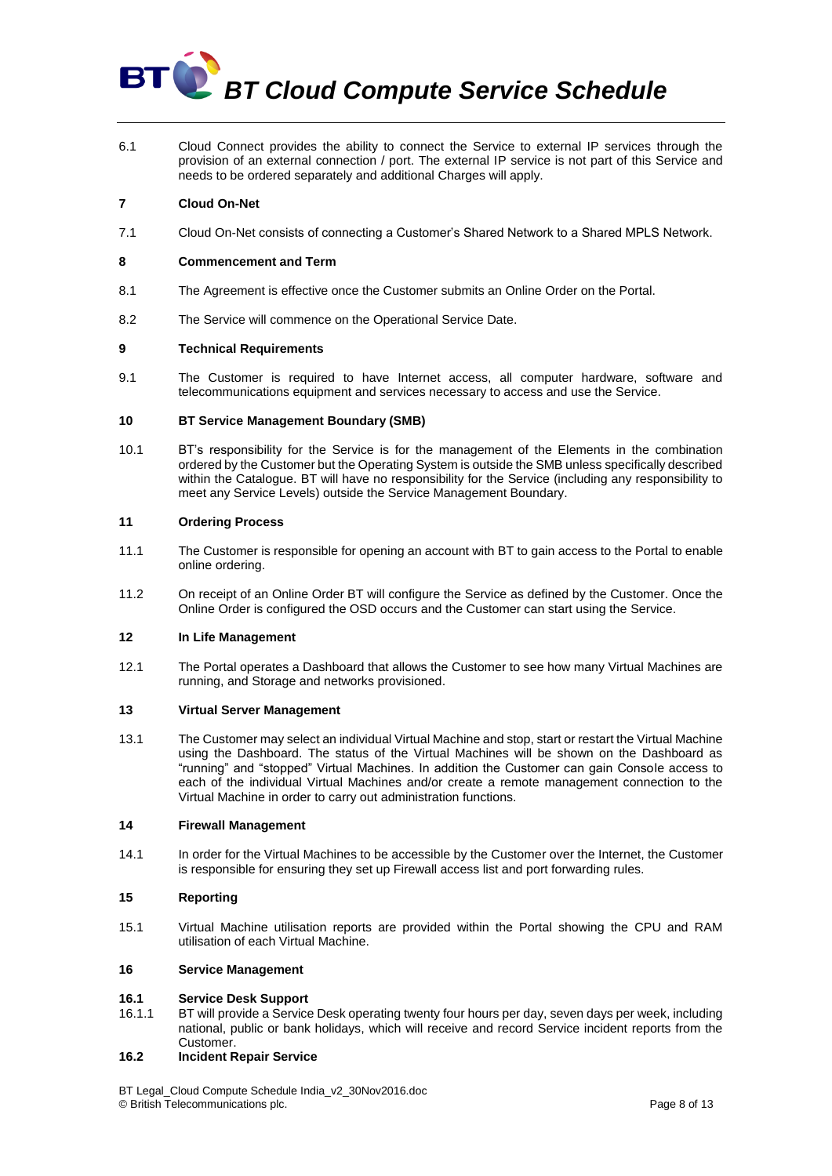6.1 Cloud Connect provides the ability to connect the Service to external IP services through the provision of an external connection / port. The external IP service is not part of this Service and needs to be ordered separately and additional Charges will apply.

# **7 Cloud On-Net**

7.1 Cloud On-Net consists of connecting a Customer's Shared Network to a Shared MPLS Network.

# **8 Commencement and Term**

- 8.1 The Agreement is effective once the Customer submits an Online Order on the Portal.
- 8.2 The Service will commence on the Operational Service Date.

#### **9 Technical Requirements**

9.1 The Customer is required to have Internet access, all computer hardware, software and telecommunications equipment and services necessary to access and use the Service.

### **10 BT Service Management Boundary (SMB)**

10.1 BT's responsibility for the Service is for the management of the Elements in the combination ordered by the Customer but the Operating System is outside the SMB unless specifically described within the Catalogue. BT will have no responsibility for the Service (including any responsibility to meet any Service Levels) outside the Service Management Boundary.

#### **11 Ordering Process**

- 11.1 The Customer is responsible for opening an account with BT to gain access to the Portal to enable online ordering.
- 11.2 On receipt of an Online Order BT will configure the Service as defined by the Customer. Once the Online Order is configured the OSD occurs and the Customer can start using the Service.

#### **12 In Life Management**

12.1 The Portal operates a Dashboard that allows the Customer to see how many Virtual Machines are running, and Storage and networks provisioned.

#### **13 Virtual Server Management**

13.1 The Customer may select an individual Virtual Machine and stop, start or restart the Virtual Machine using the Dashboard. The status of the Virtual Machines will be shown on the Dashboard as "running" and "stopped" Virtual Machines. In addition the Customer can gain Console access to each of the individual Virtual Machines and/or create a remote management connection to the Virtual Machine in order to carry out administration functions.

# **14 Firewall Management**

14.1 In order for the Virtual Machines to be accessible by the Customer over the Internet, the Customer is responsible for ensuring they set up Firewall access list and port forwarding rules.

# **15 Reporting**

15.1 Virtual Machine utilisation reports are provided within the Portal showing the CPU and RAM utilisation of each Virtual Machine.

# **16 Service Management**

# **16.1 Service Desk Support**

16.1.1 BT will provide a Service Desk operating twenty four hours per day, seven days per week, including national, public or bank holidays, which will receive and record Service incident reports from the Customer.

# <span id="page-7-0"></span>**16.2 Incident Repair Service**

BT Legal\_Cloud Compute Schedule India\_v2\_30Nov2016.doc © British Telecommunications plc. Page 8 of 13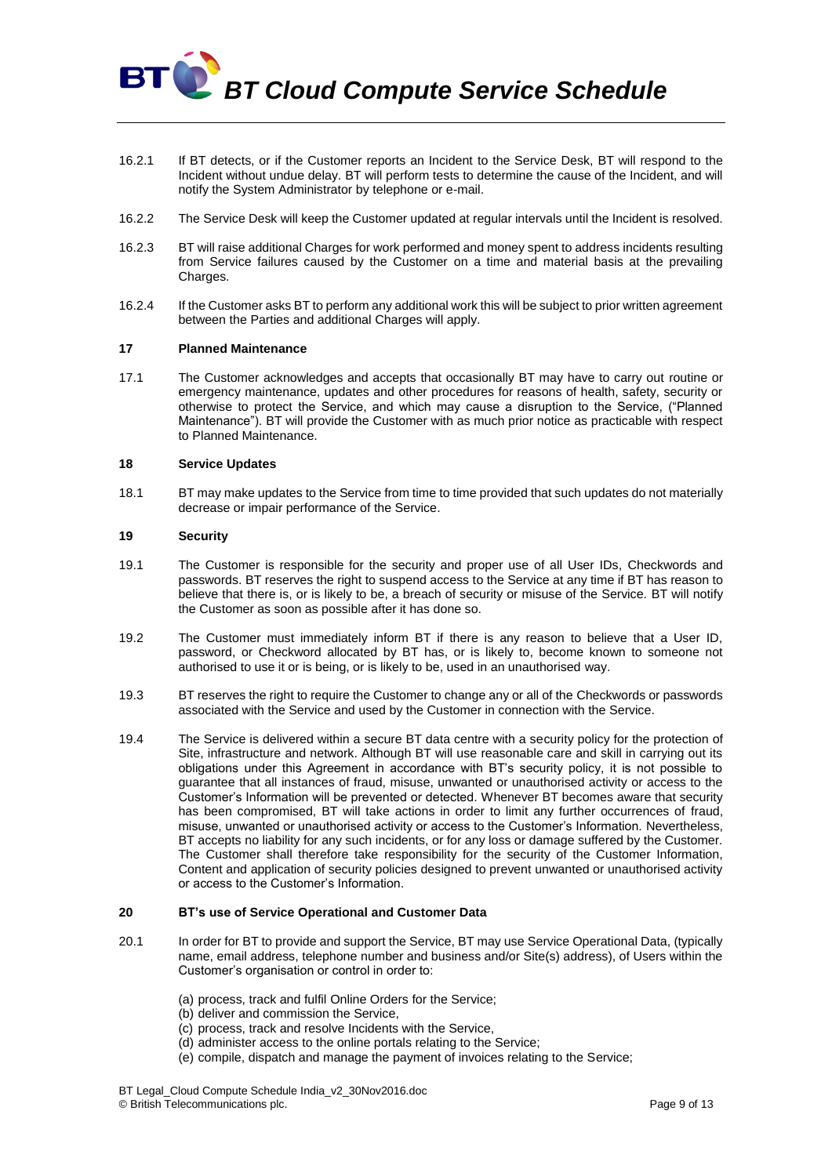- 16.2.1 If BT detects, or if the Customer reports an Incident to the Service Desk, BT will respond to the Incident without undue delay. BT will perform tests to determine the cause of the Incident, and will notify the System Administrator by telephone or e-mail.
- 16.2.2 The Service Desk will keep the Customer updated at regular intervals until the Incident is resolved.
- 16.2.3 BT will raise additional Charges for work performed and money spent to address incidents resulting from Service failures caused by the Customer on a time and material basis at the prevailing Charges.
- 16.2.4 If the Customer asks BT to perform any additional work this will be subject to prior written agreement between the Parties and additional Charges will apply.

#### **17 Planned Maintenance**

17.1 The Customer acknowledges and accepts that occasionally BT may have to carry out routine or emergency maintenance, updates and other procedures for reasons of health, safety, security or otherwise to protect the Service, and which may cause a disruption to the Service, ("Planned Maintenance"). BT will provide the Customer with as much prior notice as practicable with respect to Planned Maintenance.

#### **18 Service Updates**

18.1 BT may make updates to the Service from time to time provided that such updates do not materially decrease or impair performance of the Service.

#### **19 Security**

**BT** 

- 19.1 The Customer is responsible for the security and proper use of all User IDs, Checkwords and passwords. BT reserves the right to suspend access to the Service at any time if BT has reason to believe that there is, or is likely to be, a breach of security or misuse of the Service. BT will notify the Customer as soon as possible after it has done so.
- 19.2 The Customer must immediately inform BT if there is any reason to believe that a User ID, password, or Checkword allocated by BT has, or is likely to, become known to someone not authorised to use it or is being, or is likely to be, used in an unauthorised way.
- 19.3 BT reserves the right to require the Customer to change any or all of the Checkwords or passwords associated with the Service and used by the Customer in connection with the Service.
- 19.4 The Service is delivered within a secure BT data centre with a security policy for the protection of Site, infrastructure and network. Although BT will use reasonable care and skill in carrying out its obligations under this Agreement in accordance with BT's security policy, it is not possible to guarantee that all instances of fraud, misuse, unwanted or unauthorised activity or access to the Customer's Information will be prevented or detected. Whenever BT becomes aware that security has been compromised, BT will take actions in order to limit any further occurrences of fraud, misuse, unwanted or unauthorised activity or access to the Customer's Information. Nevertheless, BT accepts no liability for any such incidents, or for any loss or damage suffered by the Customer. The Customer shall therefore take responsibility for the security of the Customer Information, Content and application of security policies designed to prevent unwanted or unauthorised activity or access to the Customer's Information.

### **20 BT's use of Service Operational and Customer Data**

- 20.1 In order for BT to provide and support the Service, BT may use Service Operational Data, (typically name, email address, telephone number and business and/or Site(s) address), of Users within the Customer's organisation or control in order to:
	- (a) process, track and fulfil Online Orders for the Service;
	- (b) deliver and commission the Service,
	- (c) process, track and resolve Incidents with the Service,
	- (d) administer access to the online portals relating to the Service;
	- (e) compile, dispatch and manage the payment of invoices relating to the Service;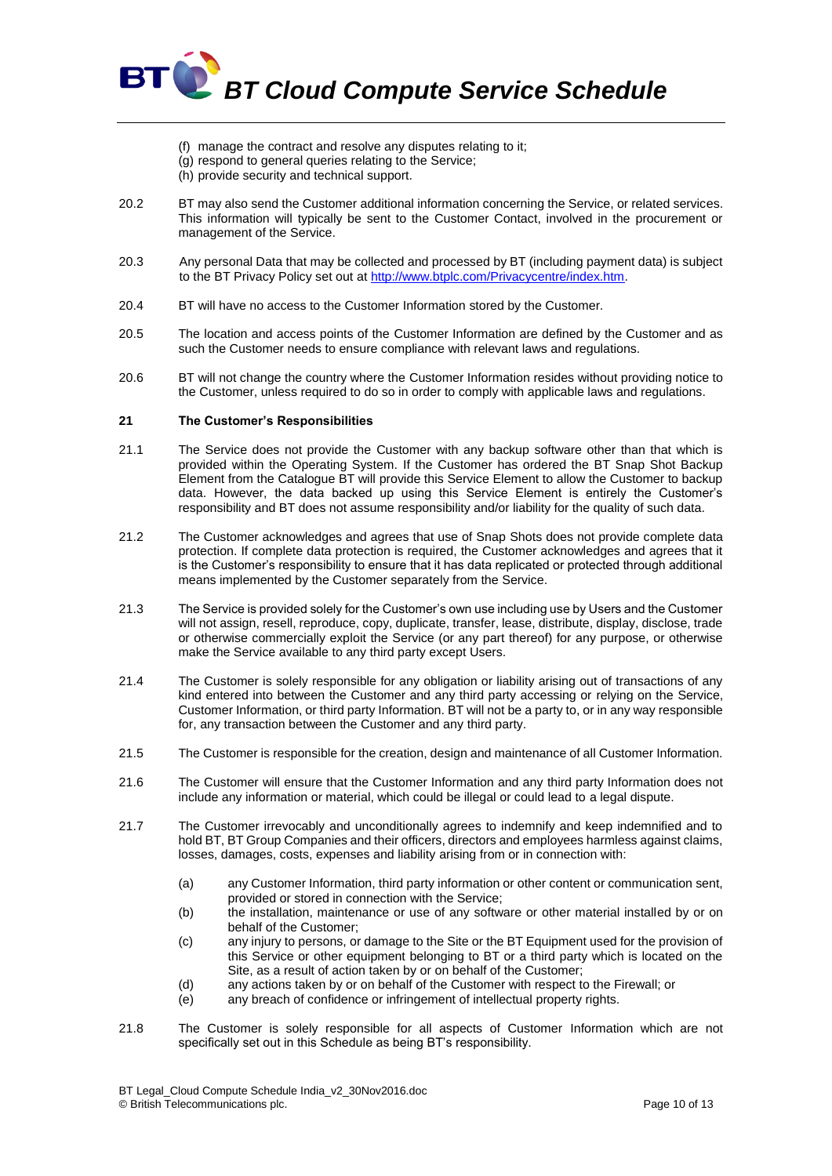

- (f) manage the contract and resolve any disputes relating to it;
- (g) respond to general queries relating to the Service;
- (h) provide security and technical support.
- 20.2 BT may also send the Customer additional information concerning the Service, or related services. This information will typically be sent to the Customer Contact, involved in the procurement or management of the Service.
- 20.3 Any personal Data that may be collected and processed by BT (including payment data) is subject to the BT Privacy Policy set out at [http://www.btplc.com/Privacycentre/index.htm.](http://www.btplc.com/Privacycentre/index.htm)
- 20.4 BT will have no access to the Customer Information stored by the Customer.
- 20.5 The location and access points of the Customer Information are defined by the Customer and as such the Customer needs to ensure compliance with relevant laws and regulations.
- 20.6 BT will not change the country where the Customer Information resides without providing notice to the Customer, unless required to do so in order to comply with applicable laws and regulations.

# <span id="page-9-0"></span>**21 The Customer's Responsibilities**

- 21.1 The Service does not provide the Customer with any backup software other than that which is provided within the Operating System. If the Customer has ordered the BT Snap Shot Backup Element from the Catalogue BT will provide this Service Element to allow the Customer to backup data. However, the data backed up using this Service Element is entirely the Customer's responsibility and BT does not assume responsibility and/or liability for the quality of such data.
- 21.2 The Customer acknowledges and agrees that use of Snap Shots does not provide complete data protection. If complete data protection is required, the Customer acknowledges and agrees that it is the Customer's responsibility to ensure that it has data replicated or protected through additional means implemented by the Customer separately from the Service.
- 21.3 The Service is provided solely for the Customer's own use including use by Users and the Customer will not assign, resell, reproduce, copy, duplicate, transfer, lease, distribute, display, disclose, trade or otherwise commercially exploit the Service (or any part thereof) for any purpose, or otherwise make the Service available to any third party except Users.
- 21.4 The Customer is solely responsible for any obligation or liability arising out of transactions of any kind entered into between the Customer and any third party accessing or relying on the Service, Customer Information, or third party Information. BT will not be a party to, or in any way responsible for, any transaction between the Customer and any third party.
- 21.5 The Customer is responsible for the creation, design and maintenance of all Customer Information.
- 21.6 The Customer will ensure that the Customer Information and any third party Information does not include any information or material, which could be illegal or could lead to a legal dispute.
- 21.7 The Customer irrevocably and unconditionally agrees to indemnify and keep indemnified and to hold BT, BT Group Companies and their officers, directors and employees harmless against claims, losses, damages, costs, expenses and liability arising from or in connection with:
	- (a) any Customer Information, third party information or other content or communication sent, provided or stored in connection with the Service;
	- (b) the installation, maintenance or use of any software or other material installed by or on behalf of the Customer;
	- (c) any injury to persons, or damage to the Site or the BT Equipment used for the provision of this Service or other equipment belonging to BT or a third party which is located on the Site, as a result of action taken by or on behalf of the Customer;
	- (d) any actions taken by or on behalf of the Customer with respect to the Firewall; or
	- (e) any breach of confidence or infringement of intellectual property rights.
- 21.8 The Customer is solely responsible for all aspects of Customer Information which are not specifically set out in this Schedule as being BT's responsibility.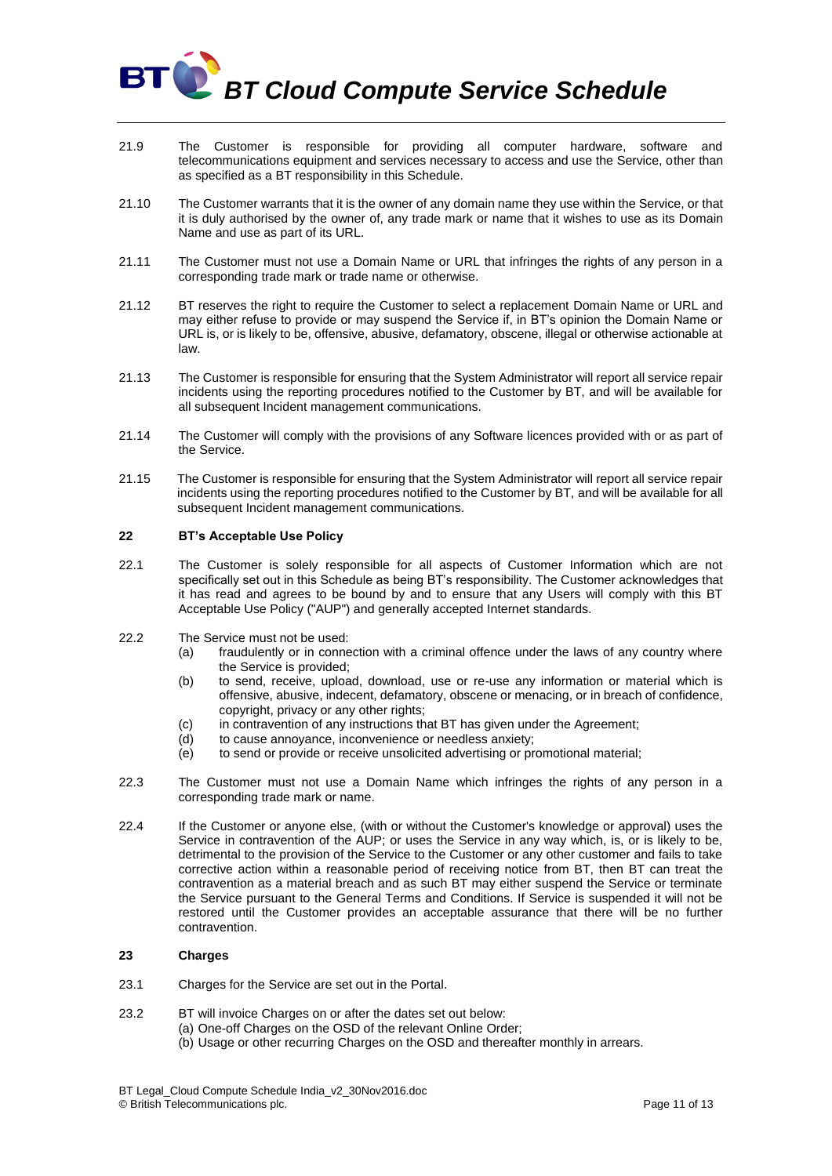

- 21.9 The Customer is responsible for providing all computer hardware, software and telecommunications equipment and services necessary to access and use the Service, other than as specified as a BT responsibility in this Schedule.
- 21.10 The Customer warrants that it is the owner of any domain name they use within the Service, or that it is duly authorised by the owner of, any trade mark or name that it wishes to use as its Domain Name and use as part of its URL.
- 21.11 The Customer must not use a Domain Name or URL that infringes the rights of any person in a corresponding trade mark or trade name or otherwise.
- 21.12 BT reserves the right to require the Customer to select a replacement Domain Name or URL and may either refuse to provide or may suspend the Service if, in BT's opinion the Domain Name or URL is, or is likely to be, offensive, abusive, defamatory, obscene, illegal or otherwise actionable at law.
- 21.13 The Customer is responsible for ensuring that the System Administrator will report all service repair incidents using the reporting procedures notified to the Customer by BT, and will be available for all subsequent Incident management communications.
- 21.14 The Customer will comply with the provisions of any Software licences provided with or as part of the Service.
- 21.15 The Customer is responsible for ensuring that the System Administrator will report all service repair incidents using the reporting procedures notified to the Customer by BT, and will be available for all subsequent Incident management communications.

# **22 BT's Acceptable Use Policy**

- 22.1 The Customer is solely responsible for all aspects of Customer Information which are not specifically set out in this Schedule as being BT's responsibility. The Customer acknowledges that it has read and agrees to be bound by and to ensure that any Users will comply with this BT Acceptable Use Policy ("AUP") and generally accepted Internet standards.
- 22.2 The Service must not be used:
	- (a) fraudulently or in connection with a criminal offence under the laws of any country where the Service is provided;
	- (b) to send, receive, upload, download, use or re-use any information or material which is offensive, abusive, indecent, defamatory, obscene or menacing, or in breach of confidence, copyright, privacy or any other rights;
	- (c) in contravention of any instructions that BT has given under the Agreement;
	- (d) to cause annoyance, inconvenience or needless anxiety;
	- (e) to send or provide or receive unsolicited advertising or promotional material;
- 22.3 The Customer must not use a Domain Name which infringes the rights of any person in a corresponding trade mark or name.
- 22.4 If the Customer or anyone else, (with or without the Customer's knowledge or approval) uses the Service in contravention of the AUP; or uses the Service in any way which, is, or is likely to be, detrimental to the provision of the Service to the Customer or any other customer and fails to take corrective action within a reasonable period of receiving notice from BT, then BT can treat the contravention as a material breach and as such BT may either suspend the Service or terminate the Service pursuant to the General Terms and Conditions. If Service is suspended it will not be restored until the Customer provides an acceptable assurance that there will be no further contravention.

# **23 Charges**

- 23.1 Charges for the Service are set out in the Portal.
- 23.2 BT will invoice Charges on or after the dates set out below:
	- (a) One-off Charges on the OSD of the relevant Online Order;
	- (b) Usage or other recurring Charges on the OSD and thereafter monthly in arrears.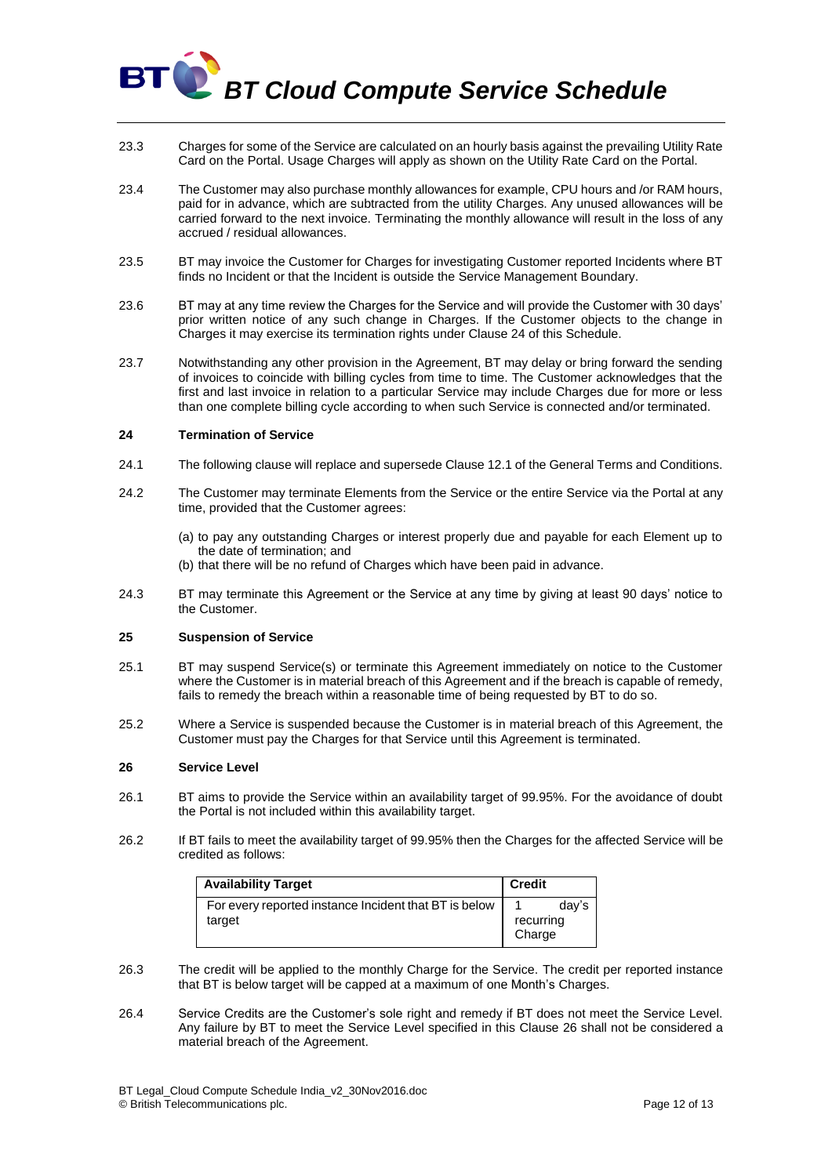- 23.3 Charges for some of the Service are calculated on an hourly basis against the prevailing Utility Rate Card on the Portal. Usage Charges will apply as shown on the Utility Rate Card on the Portal.
- 23.4 The Customer may also purchase monthly allowances for example, CPU hours and /or RAM hours, paid for in advance, which are subtracted from the utility Charges. Any unused allowances will be carried forward to the next invoice. Terminating the monthly allowance will result in the loss of any accrued / residual allowances.
- 23.5 BT may invoice the Customer for Charges for investigating Customer reported Incidents where BT finds no Incident or that the Incident is outside the Service Management Boundary.
- 23.6 BT may at any time review the Charges for the Service and will provide the Customer with 30 days' prior written notice of any such change in Charges. If the Customer objects to the change in Charges it may exercise its termination rights under Claus[e 24](#page-11-1) of this Schedule.
- 23.7 Notwithstanding any other provision in the Agreement, BT may delay or bring forward the sending of invoices to coincide with billing cycles from time to time. The Customer acknowledges that the first and last invoice in relation to a particular Service may include Charges due for more or less than one complete billing cycle according to when such Service is connected and/or terminated.

#### <span id="page-11-1"></span>**24 Termination of Service**

BT

- 24.1 The following clause will replace and supersede Clause 12.1 of the General Terms and Conditions.
- 24.2 The Customer may terminate Elements from the Service or the entire Service via the Portal at any time, provided that the Customer agrees:
	- (a) to pay any outstanding Charges or interest properly due and payable for each Element up to the date of termination; and
	- (b) that there will be no refund of Charges which have been paid in advance.
- 24.3 BT may terminate this Agreement or the Service at any time by giving at least 90 days' notice to the Customer.

#### <span id="page-11-2"></span>**25 Suspension of Service**

- 25.1 BT may suspend Service(s) or terminate this Agreement immediately on notice to the Customer where the Customer is in material breach of this Agreement and if the breach is capable of remedy, fails to remedy the breach within a reasonable time of being requested by BT to do so.
- 25.2 Where a Service is suspended because the Customer is in material breach of this Agreement, the Customer must pay the Charges for that Service until this Agreement is terminated.

#### <span id="page-11-0"></span>**26 Service Level**

- 26.1 BT aims to provide the Service within an availability target of 99.95%. For the avoidance of doubt the Portal is not included within this availability target.
- 26.2 If BT fails to meet the availability target of 99.95% then the Charges for the affected Service will be credited as follows:

| <b>Availability Target</b>                                      | <b>Credit</b>       |       |
|-----------------------------------------------------------------|---------------------|-------|
| For every reported instance Incident that BT is below<br>target | recurring<br>Charge | dav's |

- 26.3 The credit will be applied to the monthly Charge for the Service. The credit per reported instance that BT is below target will be capped at a maximum of one Month's Charges.
- 26.4 Service Credits are the Customer's sole right and remedy if BT does not meet the Service Level. Any failure by BT to meet the Service Level specified in this Clause [26](#page-11-0) shall not be considered a material breach of the Agreement.